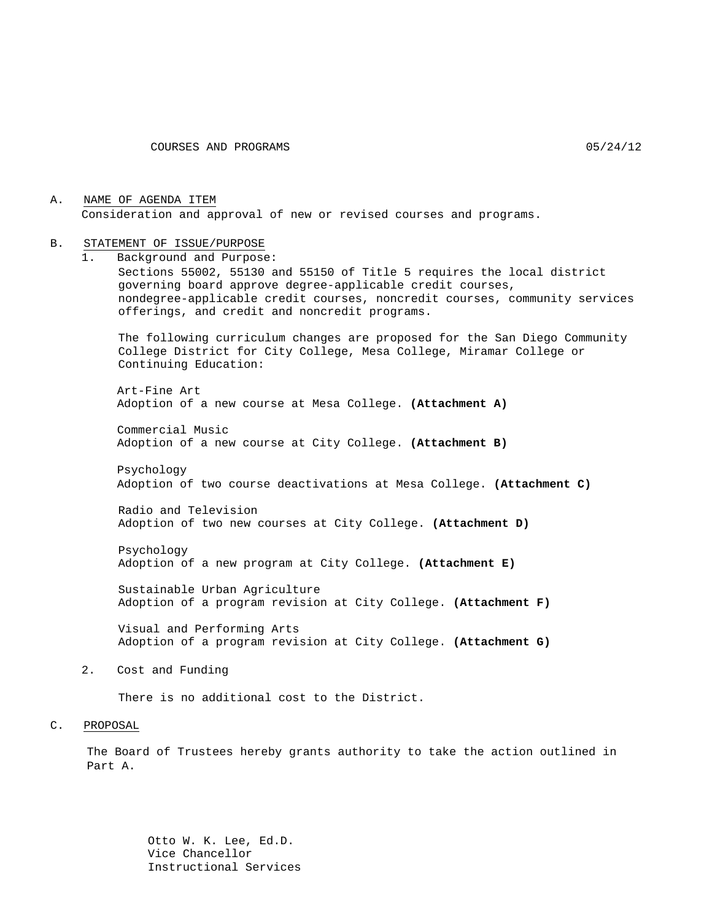A. NAME OF AGENDA ITEM Consideration and approval of new or revised courses and programs.

#### B. STATEMENT OF ISSUE/PURPOSE

1. Background and Purpose: Sections 55002, 55130 and 55150 of Title 5 requires the local district governing board approve degree-applicable credit courses, nondegree-applicable credit courses, noncredit courses, community services offerings, and credit and noncredit programs.

The following curriculum changes are proposed for the San Diego Community College District for City College, Mesa College, Miramar College or Continuing Education:

Art-Fine Art Adoption of a new course at Mesa College. **(Attachment A)**

Commercial Music Adoption of a new course at City College. **(Attachment B)**

Psychology Adoption of two course deactivations at Mesa College. **(Attachment C)**

Radio and Television Adoption of two new courses at City College. **(Attachment D)**

Psychology Adoption of a new program at City College. **(Attachment E)**

Sustainable Urban Agriculture Adoption of a program revision at City College. **(Attachment F)**

Visual and Performing Arts Adoption of a program revision at City College. **(Attachment G)**

2. Cost and Funding

There is no additional cost to the District.

#### C. PROPOSAL

The Board of Trustees hereby grants authority to take the action outlined in Part A.

> Otto W. K. Lee, Ed.D. Vice Chancellor Instructional Services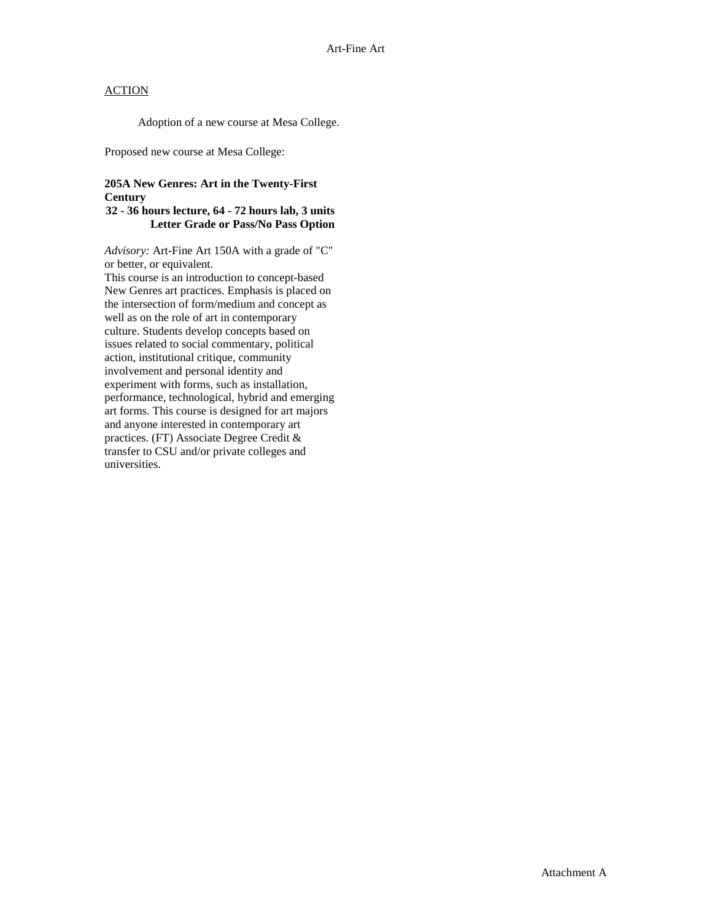Adoption of a new course at Mesa College.

Proposed new course at Mesa College:

### **205A New Genres: Art in the Twenty-First Century**

#### **32 - 36 hours lecture, 64 - 72 hours lab, 3 units Letter Grade or Pass/No Pass Option**

*Advisory:* Art-Fine Art 150A with a grade of "C" or better, or equivalent.

This course is an introduction to concept-based New Genres art practices. Emphasis is placed on the intersection of form/medium and concept as well as on the role of art in contemporary culture. Students develop concepts based on issues related to social commentary, political action, institutional critique, community involvement and personal identity and experiment with forms, such as installation, performance, technological, hybrid and emerging art forms. This course is designed for art majors and anyone interested in contemporary art practices. (FT) Associate Degree Credit & transfer to CSU and/or private colleges and universities.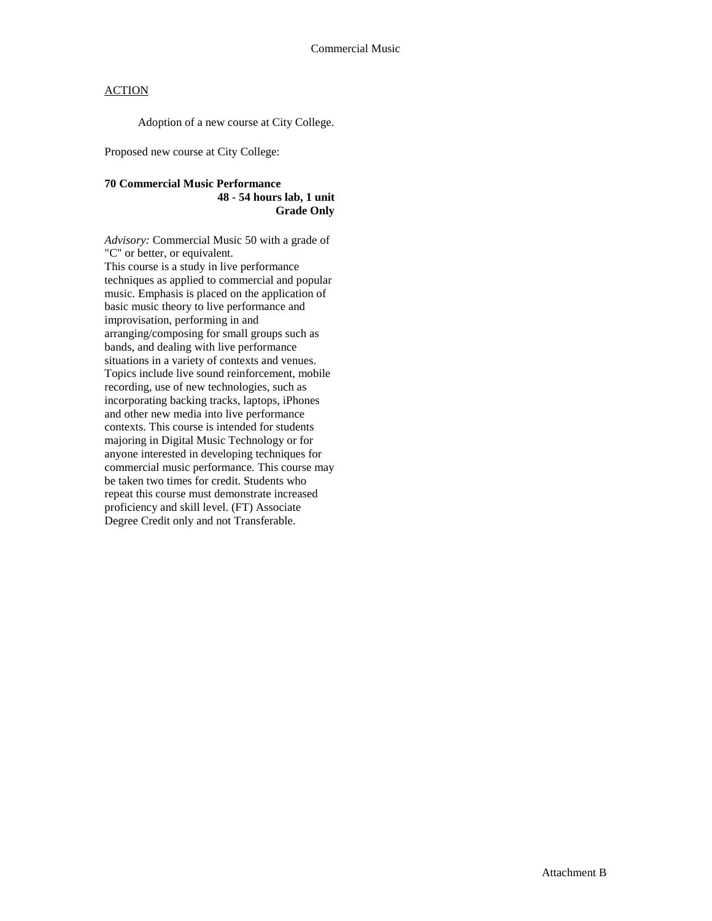Adoption of a new course at City College.

Proposed new course at City College:

### **70 Commercial Music Performance 48 - 54 hours lab, 1 unit Grade Only**

*Advisory:* Commercial Music 50 with a grade of "C" or better, or equivalent. This course is a study in live performance techniques as applied to commercial and popular music. Emphasis is placed on the application of basic music theory to live performance and improvisation, performing in and arranging/composing for small groups such as bands, and dealing with live performance situations in a variety of contexts and venues. Topics include live sound reinforcement, mobile recording, use of new technologies, such as incorporating backing tracks, laptops, iPhones and other new media into live performance contexts. This course is intended for students majoring in Digital Music Technology or for anyone interested in developing techniques for commercial music performance. This course may be taken two times for credit. Students who repeat this course must demonstrate increased proficiency and skill level. (FT) Associate Degree Credit only and not Transferable.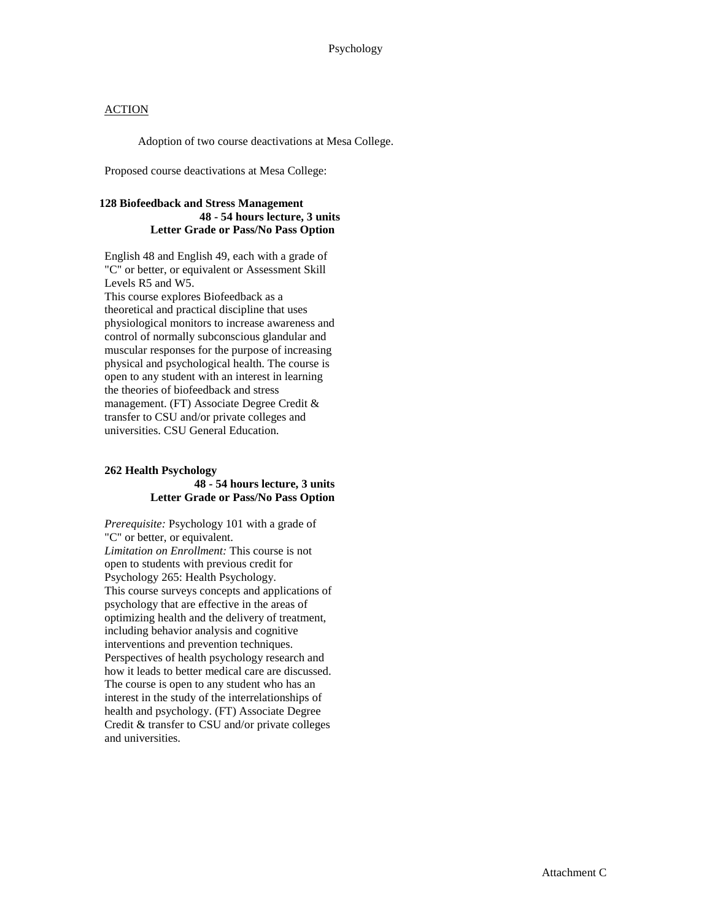Adoption of two course deactivations at Mesa College.

Proposed course deactivations at Mesa College:

### **128 Biofeedback and Stress Management 48 - 54 hours lecture, 3 units Letter Grade or Pass/No Pass Option**

English 48 and English 49, each with a grade of "C" or better, or equivalent or Assessment Skill Levels R5 and W5. This course explores Biofeedback as a theoretical and practical discipline that uses physiological monitors to increase awareness and control of normally subconscious glandular and muscular responses for the purpose of increasing physical and psychological health. The course is open to any student with an interest in learning the theories of biofeedback and stress management. (FT) Associate Degree Credit & transfer to CSU and/or private colleges and

universities. CSU General Education.

#### **262 Health Psychology 48 - 54 hours lecture, 3 units Letter Grade or Pass/No Pass Option**

*Prerequisite:* Psychology 101 with a grade of "C" or better, or equivalent. *Limitation on Enrollment:* This course is not open to students with previous credit for Psychology 265: Health Psychology. This course surveys concepts and applications of psychology that are effective in the areas of optimizing health and the delivery of treatment, including behavior analysis and cognitive interventions and prevention techniques. Perspectives of health psychology research and how it leads to better medical care are discussed. The course is open to any student who has an interest in the study of the interrelationships of health and psychology. (FT) Associate Degree Credit & transfer to CSU and/or private colleges and universities.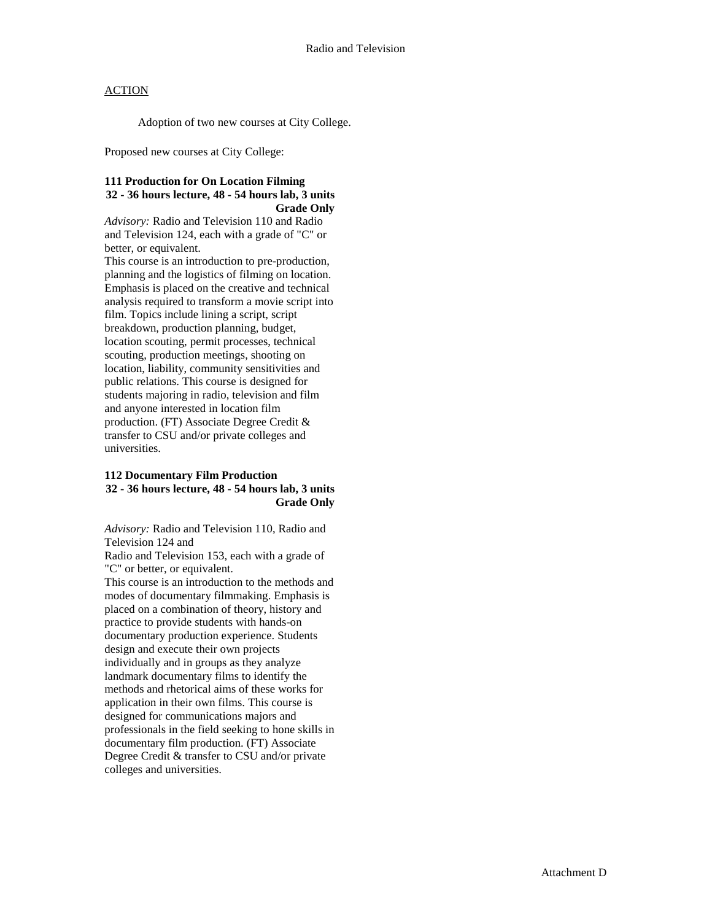Adoption of two new courses at City College.

Proposed new courses at City College:

### **111 Production for On Location Filming 32 - 36 hours lecture, 48 - 54 hours lab, 3 units Grade Only**

*Advisory:* Radio and Television 110 and Radio and Television 124, each with a grade of "C" or better, or equivalent.

This course is an introduction to pre-production, planning and the logistics of filming on location. Emphasis is placed on the creative and technical analysis required to transform a movie script into film. Topics include lining a script, script breakdown, production planning, budget, location scouting, permit processes, technical scouting, production meetings, shooting on location, liability, community sensitivities and public relations. This course is designed for students majoring in radio, television and film and anyone interested in location film production. (FT) Associate Degree Credit & transfer to CSU and/or private colleges and universities.

#### **112 Documentary Film Production 32 - 36 hours lecture, 48 - 54 hours lab, 3 units Grade Only**

*Advisory:* Radio and Television 110, Radio and Television 124 and

Radio and Television 153, each with a grade of "C" or better, or equivalent.

This course is an introduction to the methods and modes of documentary filmmaking. Emphasis is placed on a combination of theory, history and practice to provide students with hands-on documentary production experience. Students design and execute their own projects individually and in groups as they analyze landmark documentary films to identify the methods and rhetorical aims of these works for application in their own films. This course is designed for communications majors and professionals in the field seeking to hone skills in documentary film production. (FT) Associate Degree Credit & transfer to CSU and/or private colleges and universities.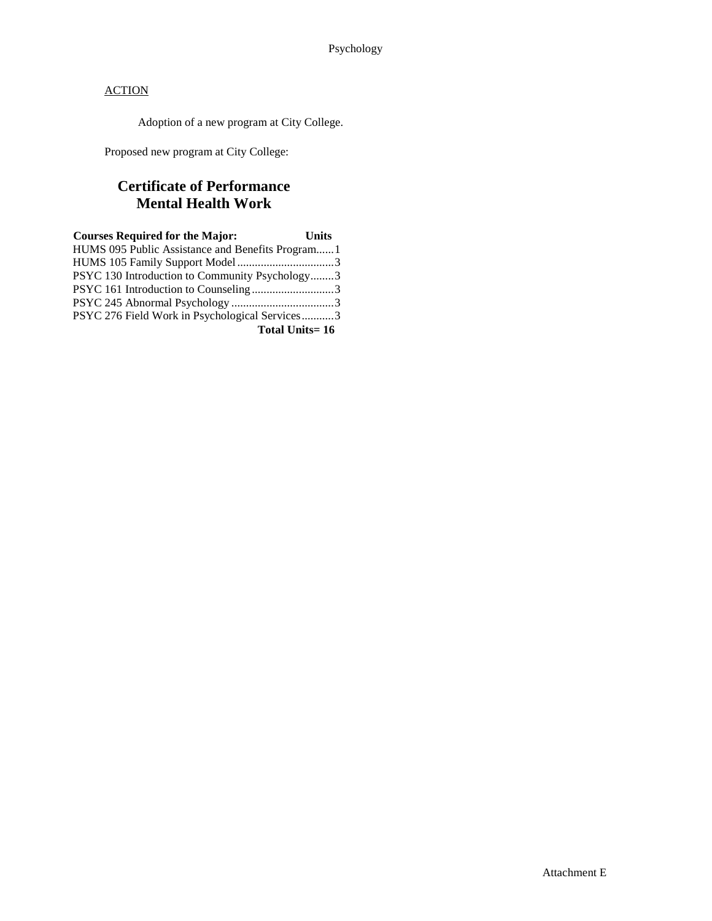Adoption of a new program at City College.

Proposed new program at City College:

# **Certificate of Performance Mental Health Work**

| <b>Courses Required for the Major:</b>           | <b>Units</b> |
|--------------------------------------------------|--------------|
| HUMS 095 Public Assistance and Benefits Program1 |              |
|                                                  |              |
| PSYC 130 Introduction to Community Psychology3   |              |
| PSYC 161 Introduction to Counseling3             |              |
|                                                  |              |
| PSYC 276 Field Work in Psychological Services3   |              |
| Total Units=16                                   |              |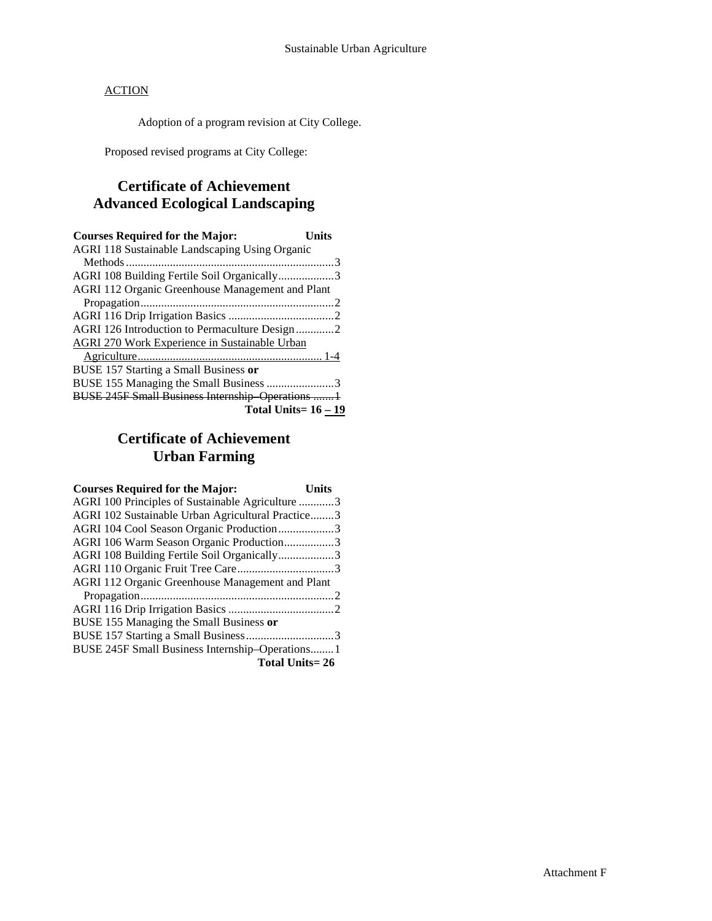Adoption of a program revision at City College.

Proposed revised programs at City College:

## **Certificate of Achievement Advanced Ecological Landscaping**

| <b>Courses Required for the Major:</b>                | Units |
|-------------------------------------------------------|-------|
| <b>AGRI 118 Sustainable Landscaping Using Organic</b> |       |
|                                                       |       |
| AGRI 108 Building Fertile Soil Organically3           |       |
| AGRI 112 Organic Greenhouse Management and Plant      |       |
|                                                       |       |
|                                                       |       |
| AGRI 126 Introduction to Permaculture Design2         |       |
| <b>AGRI 270 Work Experience in Sustainable Urban</b>  |       |
|                                                       |       |
| BUSE 157 Starting a Small Business or                 |       |
| BUSE 155 Managing the Small Business 3                |       |
| BUSE 245F Small Business Internship Operations 1      |       |
| <b>Total Units=16 - 19</b>                            |       |

# **Certificate of Achievement Urban Farming**

| <b>Courses Required for the Major:</b>            | Units |
|---------------------------------------------------|-------|
| AGRI 100 Principles of Sustainable Agriculture 3  |       |
| AGRI 102 Sustainable Urban Agricultural Practice3 |       |
| AGRI 104 Cool Season Organic Production3          |       |
| AGRI 106 Warm Season Organic Production3          |       |
| AGRI 108 Building Fertile Soil Organically3       |       |
|                                                   |       |
| AGRI 112 Organic Greenhouse Management and Plant  |       |
|                                                   |       |
|                                                   |       |
| BUSE 155 Managing the Small Business or           |       |
|                                                   |       |
| BUSE 245F Small Business Internship-Operations 1  |       |
| <b>Total Units=26</b>                             |       |